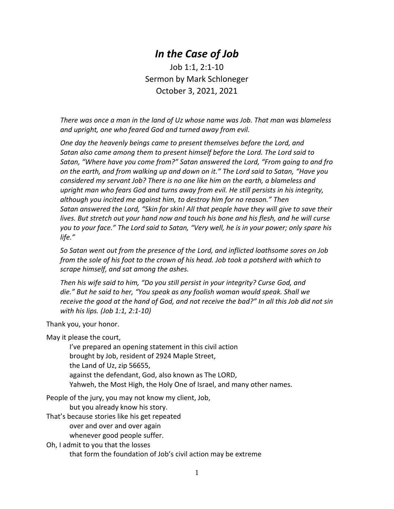## *In the Case of Job*

Job 1:1, 2:1-10 Sermon by Mark Schloneger October 3, 2021, 2021

*There was once a man in the land of Uz whose name was Job. That man was blameless and upright, one who feared God and turned away from evil.*

*One day the heavenly beings came to present themselves before the Lord, and Satan also came among them to present himself before the Lord. The Lord said to Satan, "Where have you come from?" Satan answered the Lord, "From going to and fro on the earth, and from walking up and down on it." The Lord said to Satan, "Have you considered my servant Job? There is no one like him on the earth, a blameless and upright man who fears God and turns away from evil. He still persists in his integrity, although you incited me against him, to destroy him for no reason." Then Satan answered the Lord, "Skin for skin! All that people have they will give to save their lives. But stretch out your hand now and touch his bone and his flesh, and he will curse you to your face." The Lord said to Satan, "Very well, he is in your power; only spare his life."*

*So Satan went out from the presence of the Lord, and inflicted loathsome sores on Job from the sole of his foot to the crown of his head. Job took a potsherd with which to scrape himself, and sat among the ashes.*

*Then his wife said to him, "Do you still persist in your integrity? Curse God, and die." But he said to her, "You speak as any foolish woman would speak. Shall we receive the good at the hand of God, and not receive the bad?" In all this Job did not sin with his lips. (Job 1:1, 2:1-10)*

Thank you, your honor.

May it please the court,

I've prepared an opening statement in this civil action brought by Job, resident of 2924 Maple Street, the Land of Uz, zip 56655, against the defendant, God, also known as The LORD, Yahweh, the Most High, the Holy One of Israel, and many other names.

People of the jury, you may not know my client, Job,

but you already know his story.

That's because stories like his get repeated

over and over and over again

whenever good people suffer.

Oh, I admit to you that the losses

that form the foundation of Job's civil action may be extreme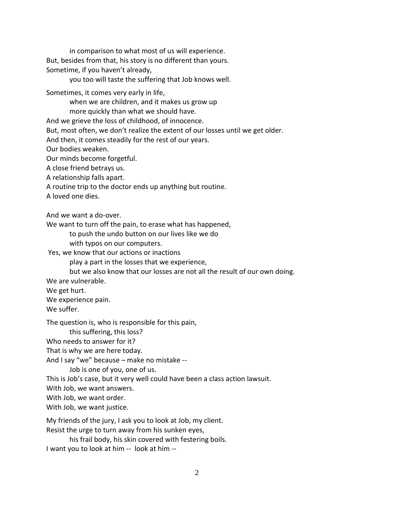in comparison to what most of us will experience. But, besides from that, his story is no different than yours. Sometime, if you haven't already,

you too will taste the suffering that Job knows well.

Sometimes, it comes very early in life,

when we are children, and it makes us grow up

more quickly than what we should have.

And we grieve the loss of childhood, of innocence.

But, most often, we don't realize the extent of our losses until we get older.

And then, it comes steadily for the rest of our years.

Our bodies weaken.

Our minds become forgetful.

A close friend betrays us.

A relationship falls apart.

A routine trip to the doctor ends up anything but routine.

A loved one dies.

And we want a do-over.

We want to turn off the pain, to erase what has happened,

to push the undo button on our lives like we do

with typos on our computers.

Yes, we know that our actions or inactions

play a part in the losses that we experience,

but we also know that our losses are not all the result of our own doing.

We are vulnerable.

We get hurt.

We experience pain.

We suffer.

The question is, who is responsible for this pain,

this suffering, this loss?

Who needs to answer for it?

That is why we are here today.

And I say "we" because – make no mistake --

Job is one of you, one of us.

This is Job's case, but it very well could have been a class action lawsuit.

With Job, we want answers.

With Job, we want order.

With Job, we want justice.

My friends of the jury, I ask you to look at Job, my client. Resist the urge to turn away from his sunken eyes,

his frail body, his skin covered with festering boils. I want you to look at him -- look at him --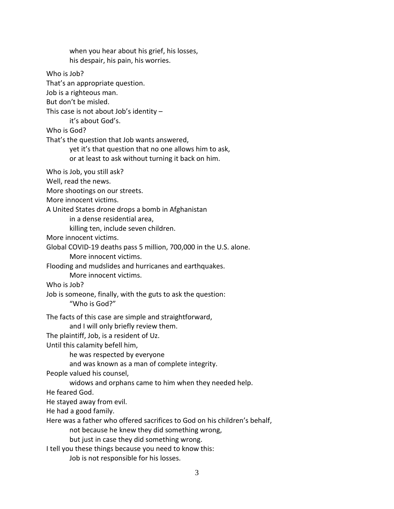when you hear about his grief, his losses, his despair, his pain, his worries. Who is Job? That's an appropriate question. Job is a righteous man. But don't be misled. This case is not about Job's identity – it's about God's. Who is God? That's the question that Job wants answered, yet it's that question that no one allows him to ask, or at least to ask without turning it back on him. Who is Job, you still ask? Well, read the news. More shootings on our streets. More innocent victims. A United States drone drops a bomb in Afghanistan in a dense residential area, killing ten, include seven children. More innocent victims. Global COVID-19 deaths pass 5 million, 700,000 in the U.S. alone. More innocent victims. Flooding and mudslides and hurricanes and earthquakes. More innocent victims. Who is Job? Job is someone, finally, with the guts to ask the question: "Who is God?" The facts of this case are simple and straightforward, and I will only briefly review them. The plaintiff, Job, is a resident of Uz. Until this calamity befell him, he was respected by everyone and was known as a man of complete integrity. People valued his counsel, widows and orphans came to him when they needed help. He feared God. He stayed away from evil. He had a good family. Here was a father who offered sacrifices to God on his children's behalf, not because he knew they did something wrong, but just in case they did something wrong. I tell you these things because you need to know this: Job is not responsible for his losses.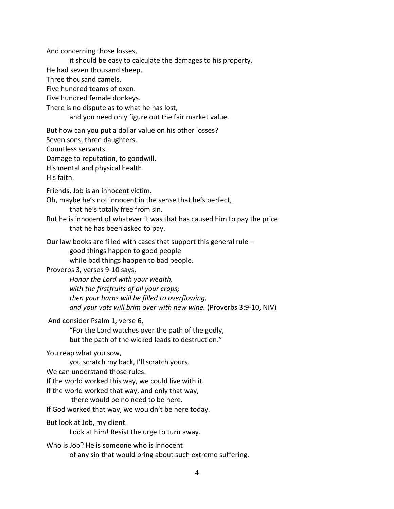And concerning those losses,

it should be easy to calculate the damages to his property.

He had seven thousand sheep.

Three thousand camels.

Five hundred teams of oxen.

Five hundred female donkeys.

There is no dispute as to what he has lost,

and you need only figure out the fair market value.

But how can you put a dollar value on his other losses?

Seven sons, three daughters.

Countless servants.

Damage to reputation, to goodwill.

His mental and physical health.

His faith.

Friends, Job is an innocent victim.

Oh, maybe he's not innocent in the sense that he's perfect, that he's totally free from sin.

But he is innocent of whatever it was that has caused him to pay the price that he has been asked to pay.

Our law books are filled with cases that support this general rule –

good things happen to good people

while bad things happen to bad people.

## Proverbs 3, verses 9-10 says,

*Honor the Lord with your wealth, with the firstfruits of all your crops; then your barns will be filled to overflowing, and your vats will brim over with new wine.* (Proverbs 3:9-10, NIV)

And consider Psalm 1, verse 6,

"For the Lord watches over the path of the godly, but the path of the wicked leads to destruction."

You reap what you sow,

you scratch my back, I'll scratch yours.

We can understand those rules.

If the world worked this way, we could live with it.

If the world worked that way, and only that way,

there would be no need to be here.

If God worked that way, we wouldn't be here today.

But look at Job, my client.

Look at him! Resist the urge to turn away.

Who is Job? He is someone who is innocent of any sin that would bring about such extreme suffering.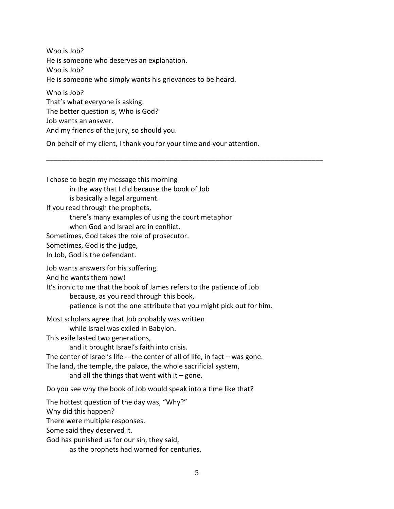Who is Job? He is someone who deserves an explanation. Who is Joh? He is someone who simply wants his grievances to be heard. Who is Job? That's what everyone is asking. The better question is, Who is God? Job wants an answer. And my friends of the jury, so should you.

On behalf of my client, I thank you for your time and your attention.

\_\_\_\_\_\_\_\_\_\_\_\_\_\_\_\_\_\_\_\_\_\_\_\_\_\_\_\_\_\_\_\_\_\_\_\_\_\_\_\_\_\_\_\_\_\_\_\_\_\_\_\_\_\_\_\_\_\_\_\_\_\_\_\_\_\_\_\_\_\_\_\_

I chose to begin my message this morning

in the way that I did because the book of Job

is basically a legal argument.

If you read through the prophets,

there's many examples of using the court metaphor when God and Israel are in conflict.

Sometimes, God takes the role of prosecutor.

Sometimes, God is the judge,

In Job, God is the defendant.

Job wants answers for his suffering.

And he wants them now!

It's ironic to me that the book of James refers to the patience of Job

because, as you read through this book,

patience is not the one attribute that you might pick out for him.

Most scholars agree that Job probably was written

while Israel was exiled in Babylon.

This exile lasted two generations,

and it brought Israel's faith into crisis.

The center of Israel's life  $-$  the center of all of life, in fact  $-$  was gone.

The land, the temple, the palace, the whole sacrificial system,

and all the things that went with it  $-$  gone.

Do you see why the book of Job would speak into a time like that?

The hottest question of the day was, "Why?"

Why did this happen?

There were multiple responses.

Some said they deserved it.

God has punished us for our sin, they said,

as the prophets had warned for centuries.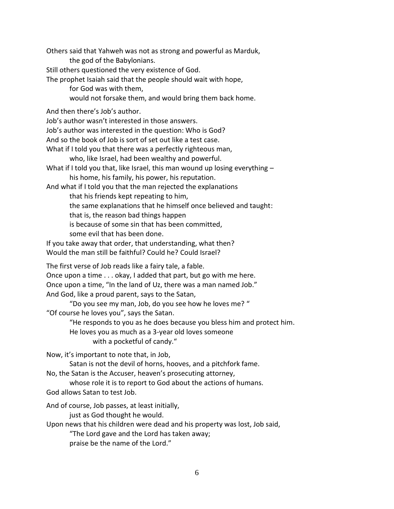Others said that Yahweh was not as strong and powerful as Marduk, the god of the Babylonians.

Still others questioned the very existence of God.

The prophet Isaiah said that the people should wait with hope,

for God was with them,

would not forsake them, and would bring them back home.

And then there's Job's author.

Job's author wasn't interested in those answers.

Job's author was interested in the question: Who is God?

And so the book of Job is sort of set out like a test case.

What if I told you that there was a perfectly righteous man,

who, like Israel, had been wealthy and powerful.

What if I told you that, like Israel, this man wound up losing everything his home, his family, his power, his reputation.

And what if I told you that the man rejected the explanations

that his friends kept repeating to him,

the same explanations that he himself once believed and taught:

that is, the reason bad things happen

is because of some sin that has been committed,

some evil that has been done.

If you take away that order, that understanding, what then? Would the man still be faithful? Could he? Could Israel?

The first verse of Job reads like a fairy tale, a fable.

Once upon a time . . . okay, I added that part, but go with me here. Once upon a time, "In the land of Uz, there was a man named Job." And God, like a proud parent, says to the Satan,

"Do you see my man, Job, do you see how he loves me? " "Of course he loves you", says the Satan.

"He responds to you as he does because you bless him and protect him.

He loves you as much as a 3-year old loves someone with a pocketful of candy."

Now, it's important to note that, in Job,

Satan is not the devil of horns, hooves, and a pitchfork fame.

No, the Satan is the Accuser, heaven's prosecuting attorney,

whose role it is to report to God about the actions of humans.

God allows Satan to test Job.

And of course, Job passes, at least initially,

just as God thought he would.

Upon news that his children were dead and his property was lost, Job said,

"The Lord gave and the Lord has taken away;

praise be the name of the Lord."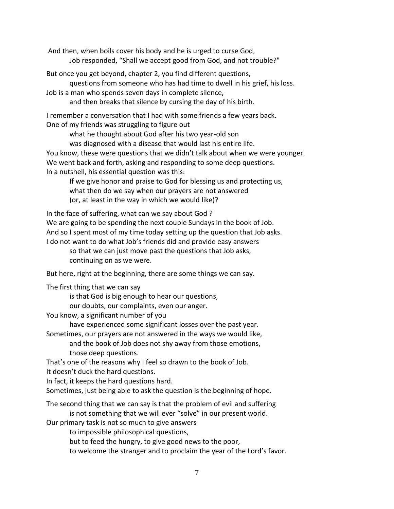And then, when boils cover his body and he is urged to curse God, Job responded, "Shall we accept good from God, and not trouble?"

But once you get beyond, chapter 2, you find different questions, questions from someone who has had time to dwell in his grief, his loss. Job is a man who spends seven days in complete silence,

and then breaks that silence by cursing the day of his birth.

I remember a conversation that I had with some friends a few years back. One of my friends was struggling to figure out

what he thought about God after his two year-old son

was diagnosed with a disease that would last his entire life.

You know, these were questions that we didn't talk about when we were younger. We went back and forth, asking and responding to some deep questions. In a nutshell, his essential question was this:

If we give honor and praise to God for blessing us and protecting us, what then do we say when our prayers are not answered (or, at least in the way in which we would like)?

In the face of suffering, what can we say about God ? We are going to be spending the next couple Sundays in the book of Job. And so I spent most of my time today setting up the question that Job asks.

I do not want to do what Job's friends did and provide easy answers so that we can just move past the questions that Job asks, continuing on as we were.

But here, right at the beginning, there are some things we can say.

The first thing that we can say

is that God is big enough to hear our questions,

our doubts, our complaints, even our anger.

You know, a significant number of you

have experienced some significant losses over the past year.

Sometimes, our prayers are not answered in the ways we would like, and the book of Job does not shy away from those emotions, those deep questions.

That's one of the reasons why I feel so drawn to the book of Job.

It doesn't duck the hard questions.

In fact, it keeps the hard questions hard.

Sometimes, just being able to ask the question is the beginning of hope.

The second thing that we can say is that the problem of evil and suffering

is not something that we will ever "solve" in our present world.

Our primary task is not so much to give answers

to impossible philosophical questions,

but to feed the hungry, to give good news to the poor,

to welcome the stranger and to proclaim the year of the Lord's favor.